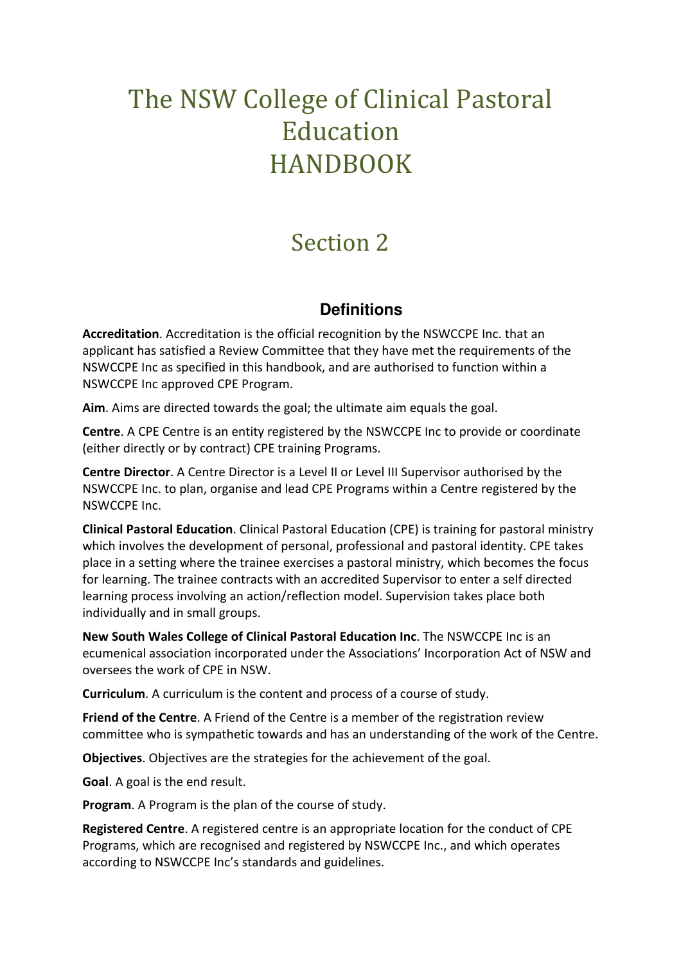## The NSW College of Clinical Pastoral Education HANDBOOK

## Section 2

## **Definitions**

**Accreditation**. Accreditation is the official recognition by the NSWCCPE Inc. that an applicant has satisfied a Review Committee that they have met the requirements of the NSWCCPE Inc as specified in this handbook, and are authorised to function within a NSWCCPE Inc approved CPE Program.

Aim. Aims are directed towards the goal; the ultimate aim equals the goal.

**Centre**. A CPE Centre is an entity registered by the NSWCCPE Inc to provide or coordinate (either directly or by contract) CPE training Programs.

**Centre Director**. A Centre Director is a Level II or Level III Supervisor authorised by the NSWCCPE Inc. to plan, organise and lead CPE Programs within a Centre registered by the NSWCCPE Inc.

**Clinical Pastoral Education**. Clinical Pastoral Education (CPE) is training for pastoral ministry which involves the development of personal, professional and pastoral identity. CPE takes place in a setting where the trainee exercises a pastoral ministry, which becomes the focus for learning. The trainee contracts with an accredited Supervisor to enter a self directed learning process involving an action/reflection model. Supervision takes place both individually and in small groups.

**New South Wales College of Clinical Pastoral Education Inc**. The NSWCCPE Inc is an ecumenical association incorporated under the Associations' Incorporation Act of NSW and oversees the work of CPE in NSW.

**Curriculum**. A curriculum is the content and process of a course of study.

**Friend of the Centre**. A Friend of the Centre is a member of the registration review committee who is sympathetic towards and has an understanding of the work of the Centre.

**Objectives**. Objectives are the strategies for the achievement of the goal.

**Goal**. A goal is the end result.

**Program**. A Program is the plan of the course of study.

**Registered Centre**. A registered centre is an appropriate location for the conduct of CPE Programs, which are recognised and registered by NSWCCPE Inc., and which operates according to NSWCCPE Inc's standards and guidelines.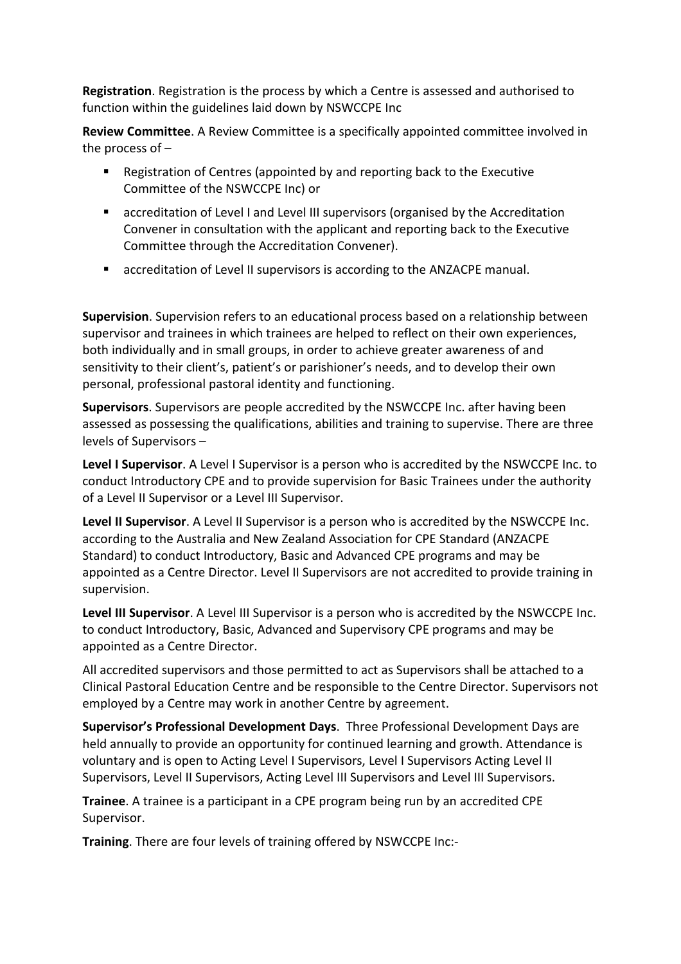**Registration**. Registration is the process by which a Centre is assessed and authorised to function within the guidelines laid down by NSWCCPE Inc

**Review Committee**. A Review Committee is a specifically appointed committee involved in the process of –

- Registration of Centres (appointed by and reporting back to the Executive Committee of the NSWCCPE Inc) or
- accreditation of Level I and Level III supervisors (organised by the Accreditation Convener in consultation with the applicant and reporting back to the Executive Committee through the Accreditation Convener).
- accreditation of Level II supervisors is according to the ANZACPE manual.

**Supervision**. Supervision refers to an educational process based on a relationship between supervisor and trainees in which trainees are helped to reflect on their own experiences, both individually and in small groups, in order to achieve greater awareness of and sensitivity to their client's, patient's or parishioner's needs, and to develop their own personal, professional pastoral identity and functioning.

**Supervisors**. Supervisors are people accredited by the NSWCCPE Inc. after having been assessed as possessing the qualifications, abilities and training to supervise. There are three levels of Supervisors –

**Level I Supervisor**. A Level I Supervisor is a person who is accredited by the NSWCCPE Inc. to conduct Introductory CPE and to provide supervision for Basic Trainees under the authority of a Level II Supervisor or a Level III Supervisor.

**Level II Supervisor**. A Level II Supervisor is a person who is accredited by the NSWCCPE Inc. according to the Australia and New Zealand Association for CPE Standard (ANZACPE Standard) to conduct Introductory, Basic and Advanced CPE programs and may be appointed as a Centre Director. Level II Supervisors are not accredited to provide training in supervision.

**Level III Supervisor**. A Level III Supervisor is a person who is accredited by the NSWCCPE Inc. to conduct Introductory, Basic, Advanced and Supervisory CPE programs and may be appointed as a Centre Director.

All accredited supervisors and those permitted to act as Supervisors shall be attached to a Clinical Pastoral Education Centre and be responsible to the Centre Director. Supervisors not employed by a Centre may work in another Centre by agreement.

**Supervisor's Professional Development Days**. Three Professional Development Days are held annually to provide an opportunity for continued learning and growth. Attendance is voluntary and is open to Acting Level I Supervisors, Level I Supervisors Acting Level II Supervisors, Level II Supervisors, Acting Level III Supervisors and Level III Supervisors.

**Trainee**. A trainee is a participant in a CPE program being run by an accredited CPE Supervisor.

**Training**. There are four levels of training offered by NSWCCPE Inc:-